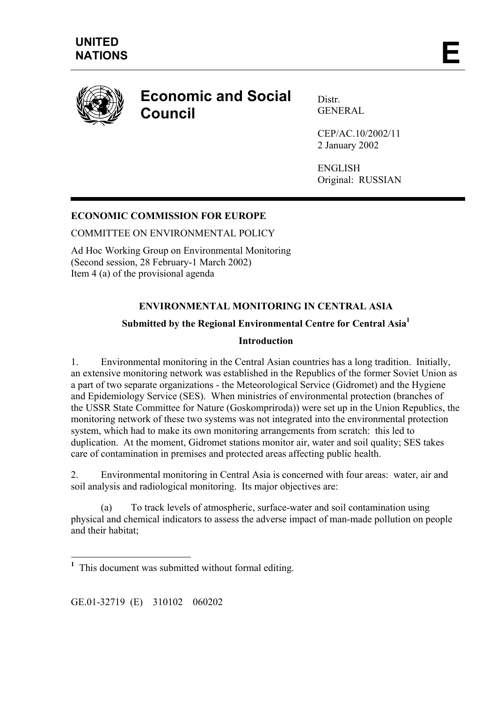

# **Economic and Social Council**

Distr. GENERAL

CEP/AC.10/2002/11 2 January 2002

ENGLISH Original: RUSSIAN

### **ECONOMIC COMMISSION FOR EUROPE**

COMMITTEE ON ENVIRONMENTAL POLICY

Ad Hoc Working Group on Environmental Monitoring (Second session, 28 February-1 March 2002) Item 4 (a) of the provisional agenda

## **ENVIRONMENTAL MONITORING IN CENTRAL ASIA**

#### **Submitted by the Regional Environmental Centre for Central Asia[1](#page-0-0)**

#### **Introduction**

1. Environmental monitoring in the Central Asian countries has a long tradition. Initially, an extensive monitoring network was established in the Republics of the former Soviet Union as a part of two separate organizations - the Meteorological Service (Gidromet) and the Hygiene and Epidemiology Service (SES). When ministries of environmental protection (branches of the USSR State Committee for Nature (Goskompriroda)) were set up in the Union Republics, the monitoring network of these two systems was not integrated into the environmental protection system, which had to make its own monitoring arrangements from scratch: this led to duplication. At the moment, Gidromet stations monitor air, water and soil quality; SES takes care of contamination in premises and protected areas affecting public health.

2. Environmental monitoring in Central Asia is concerned with four areas: water, air and soil analysis and radiological monitoring. Its major objectives are:

(a) To track levels of atmospheric, surface-water and soil contamination using physical and chemical indicators to assess the adverse impact of man-made pollution on people and their habitat;

GE.01-32719 (E) 310102 060202

<span id="page-0-0"></span><sup>&</sup>lt;sup>1</sup> This document was submitted without formal editing.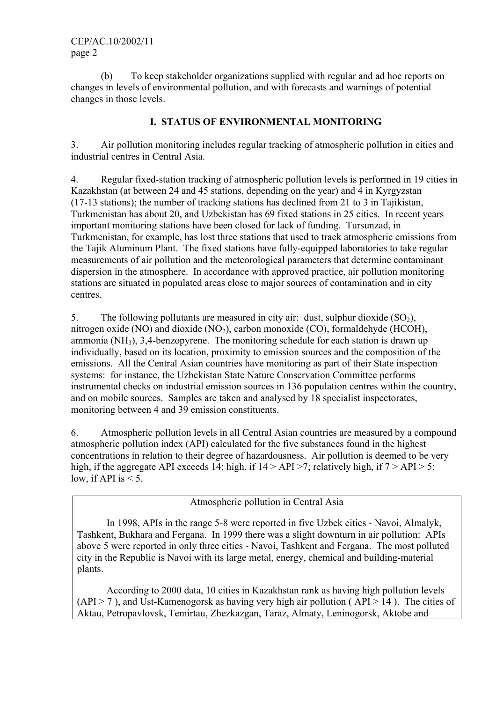(b) To keep stakeholder organizations supplied with regular and ad hoc reports on changes in levels of environmental pollution, and with forecasts and warnings of potential changes in those levels.

#### **I. STATUS OF ENVIRONMENTAL MONITORING**

3. Air pollution monitoring includes regular tracking of atmospheric pollution in cities and industrial centres in Central Asia.

4. Regular fixed-station tracking of atmospheric pollution levels is performed in 19 cities in Kazakhstan (at between 24 and 45 stations, depending on the year) and 4 in Kyrgyzstan (17-13 stations); the number of tracking stations has declined from 21 to 3 in Tajikistan, Turkmenistan has about 20, and Uzbekistan has 69 fixed stations in 25 cities. In recent years important monitoring stations have been closed for lack of funding. Tursunzad, in Turkmenistan, for example, has lost three stations that used to track atmospheric emissions from the Tajik Aluminum Plant. The fixed stations have fully-equipped laboratories to take regular measurements of air pollution and the meteorological parameters that determine contaminant dispersion in the atmosphere. In accordance with approved practice, air pollution monitoring stations are situated in populated areas close to major sources of contamination and in city centres.

5. The following pollutants are measured in city air: dust, sulphur dioxide  $(SO<sub>2</sub>)$ , nitrogen oxide (NO) and dioxide (NO<sub>2</sub>), carbon monoxide (CO), formaldehyde (HCOH), ammonia (NH3), 3,4-benzopyrene. The monitoring schedule for each station is drawn up individually, based on its location, proximity to emission sources and the composition of the emissions. All the Central Asian countries have monitoring as part of their State inspection systems: for instance, the Uzbekistan State Nature Conservation Committee performs instrumental checks on industrial emission sources in 136 population centres within the country, and on mobile sources. Samples are taken and analysed by 18 specialist inspectorates, monitoring between 4 and 39 emission constituents.

6. Atmospheric pollution levels in all Central Asian countries are measured by a compound atmospheric pollution index (API) calculated for the five substances found in the highest concentrations in relation to their degree of hazardousness. Air pollution is deemed to be very high, if the aggregate API exceeds 14; high, if  $14 > API > 7$ ; relatively high, if  $7 > API > 5$ ; low, if API is  $< 5$ .

Atmospheric pollution in Central Asia

In 1998, APIs in the range 5-8 were reported in five Uzbek cities - Navoi, Almalyk, Tashkent, Bukhara and Fergana. In 1999 there was a slight downturn in air pollution: APIs above 5 were reported in only three cities - Navoi, Tashkent and Fergana. The most polluted city in the Republic is Navoi with its large metal, energy, chemical and building-material plants.

According to 2000 data, 10 cities in Kazakhstan rank as having high pollution levels  $(API > 7)$ , and Ust-Kamenogorsk as having very high air pollution (API > 14). The cities of Aktau, Petropavlovsk, Temirtau, Zhezkazgan, Taraz, Almaty, Leninogorsk, Aktobe and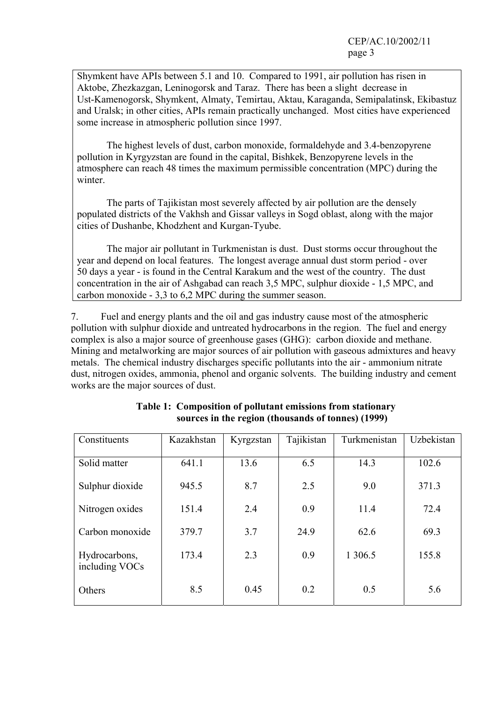Shymkent have APIs between 5.1 and 10. Compared to 1991, air pollution has risen in Aktobe, Zhezkazgan, Leninogorsk and Taraz. There has been a slight decrease in Ust-Kamenogorsk, Shymkent, Almaty, Temirtau, Aktau, Karaganda, Semipalatinsk, Ekibastuz and Uralsk; in other cities, APIs remain practically unchanged. Most cities have experienced some increase in atmospheric pollution since 1997.

The highest levels of dust, carbon monoxide, formaldehyde and 3.4-benzopyrene pollution in Kyrgyzstan are found in the capital, Bishkek, Benzopyrene levels in the atmosphere can reach 48 times the maximum permissible concentration (MPC) during the winter.

The parts of Tajikistan most severely affected by air pollution are the densely populated districts of the Vakhsh and Gissar valleys in Sogd oblast, along with the major cities of Dushanbe, Khodzhent and Kurgan-Tyube.

The major air pollutant in Turkmenistan is dust. Dust storms occur throughout the year and depend on local features. The longest average annual dust storm period - over 50 days a year - is found in the Central Karakum and the west of the country. The dust concentration in the air of Ashgabad can reach 3,5 MPC, sulphur dioxide - 1,5 MPC, and carbon monoxide - 3,3 to 6,2 MPC during the summer season.

7. Fuel and energy plants and the oil and gas industry cause most of the atmospheric pollution with sulphur dioxide and untreated hydrocarbons in the region. The fuel and energy complex is also a major source of greenhouse gases (GHG): carbon dioxide and methane. Mining and metalworking are major sources of air pollution with gaseous admixtures and heavy metals. The chemical industry discharges specific pollutants into the air - ammonium nitrate dust, nitrogen oxides, ammonia, phenol and organic solvents. The building industry and cement works are the major sources of dust.

| Constituents                    | Kazakhstan | Kyrgzstan | Tajikistan | Turkmenistan | Uzbekistan |
|---------------------------------|------------|-----------|------------|--------------|------------|
| Solid matter                    | 641.1      | 13.6      | 6.5        | 14.3         | 102.6      |
| Sulphur dioxide                 | 945.5      | 8.7       | 2.5        | 9.0          | 371.3      |
| Nitrogen oxides                 | 151.4      | 2.4       | 0.9        | 11.4         | 72.4       |
| Carbon monoxide                 | 379.7      | 3.7       | 24.9       | 62.6         | 69.3       |
| Hydrocarbons,<br>including VOCs | 173.4      | 2.3       | 0.9        | 1 306.5      | 155.8      |
| Others                          | 8.5        | 0.45      | 0.2        | 0.5          | 5.6        |

| Table 1: Composition of pollutant emissions from stationary |
|-------------------------------------------------------------|
| sources in the region (thousands of tonnes) (1999)          |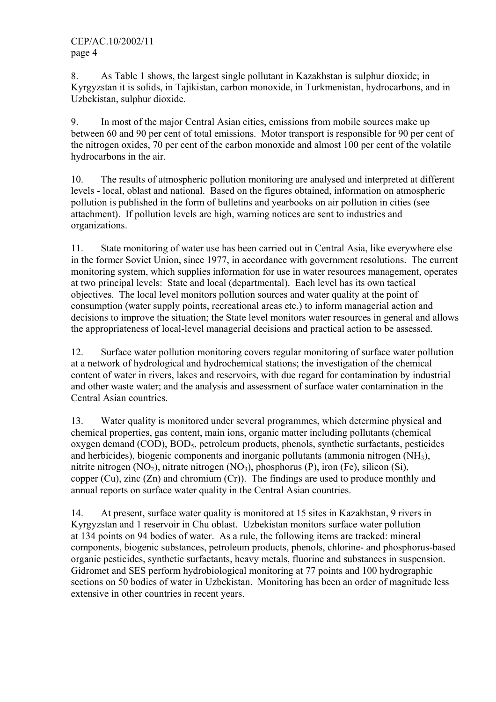8. As Table 1 shows, the largest single pollutant in Kazakhstan is sulphur dioxide; in Kyrgyzstan it is solids, in Tajikistan, carbon monoxide, in Turkmenistan, hydrocarbons, and in Uzbekistan, sulphur dioxide.

9. In most of the major Central Asian cities, emissions from mobile sources make up between 60 and 90 per cent of total emissions. Motor transport is responsible for 90 per cent of the nitrogen oxides, 70 per cent of the carbon monoxide and almost 100 per cent of the volatile hydrocarbons in the air.

10. The results of atmospheric pollution monitoring are analysed and interpreted at different levels - local, oblast and national. Based on the figures obtained, information on atmospheric pollution is published in the form of bulletins and yearbooks on air pollution in cities (see attachment). If pollution levels are high, warning notices are sent to industries and organizations.

11. State monitoring of water use has been carried out in Central Asia, like everywhere else in the former Soviet Union, since 1977, in accordance with government resolutions. The current monitoring system, which supplies information for use in water resources management, operates at two principal levels: State and local (departmental). Each level has its own tactical objectives. The local level monitors pollution sources and water quality at the point of consumption (water supply points, recreational areas etc.) to inform managerial action and decisions to improve the situation; the State level monitors water resources in general and allows the appropriateness of local-level managerial decisions and practical action to be assessed.

12. Surface water pollution monitoring covers regular monitoring of surface water pollution at a network of hydrological and hydrochemical stations; the investigation of the chemical content of water in rivers, lakes and reservoirs, with due regard for contamination by industrial and other waste water; and the analysis and assessment of surface water contamination in the Central Asian countries.

13. Water quality is monitored under several programmes, which determine physical and chemical properties, gas content, main ions, organic matter including pollutants (chemical  $oxyeen$  demand  $(COD)$ ,  $BOD<sub>5</sub>$ , petroleum products, phenols, synthetic surfactants, pesticides and herbicides), biogenic components and inorganic pollutants (ammonia nitrogen (NH3), nitrite nitrogen  $(NO_2)$ , nitrate nitrogen  $(NO_3)$ , phosphorus  $(P)$ , iron  $(Fe)$ , silicon  $(Si)$ , copper  $(Cu)$ , zinc  $(Zn)$  and chromium  $(Cr)$ ). The findings are used to produce monthly and annual reports on surface water quality in the Central Asian countries.

14. At present, surface water quality is monitored at 15 sites in Kazakhstan, 9 rivers in Kyrgyzstan and 1 reservoir in Chu oblast. Uzbekistan monitors surface water pollution at 134 points on 94 bodies of water. As a rule, the following items are tracked: mineral components, biogenic substances, petroleum products, phenols, chlorine- and phosphorus-based organic pesticides, synthetic surfactants, heavy metals, fluorine and substances in suspension. Gidromet and SES perform hydrobiological monitoring at 77 points and 100 hydrographic sections on 50 bodies of water in Uzbekistan. Monitoring has been an order of magnitude less extensive in other countries in recent years.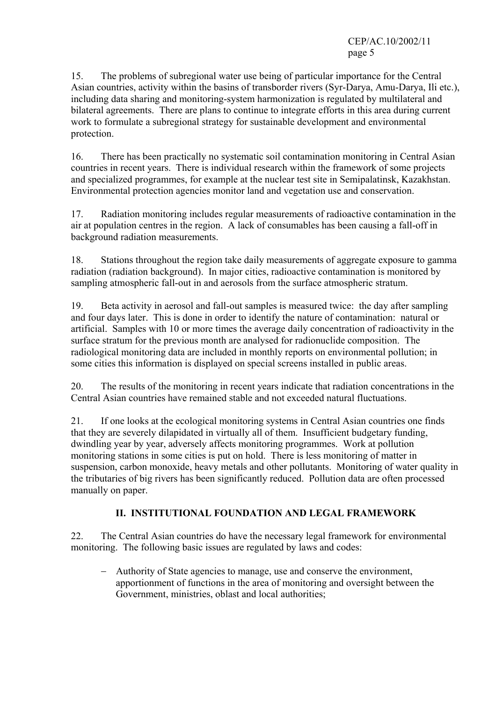CEP/AC.10/2002/11 page 5

15. The problems of subregional water use being of particular importance for the Central Asian countries, activity within the basins of transborder rivers (Syr-Darya, Amu-Darya, Ili etc.), including data sharing and monitoring-system harmonization is regulated by multilateral and bilateral agreements. There are plans to continue to integrate efforts in this area during current work to formulate a subregional strategy for sustainable development and environmental protection.

16. There has been practically no systematic soil contamination monitoring in Central Asian countries in recent years. There is individual research within the framework of some projects and specialized programmes, for example at the nuclear test site in Semipalatinsk, Kazakhstan. Environmental protection agencies monitor land and vegetation use and conservation.

17. Radiation monitoring includes regular measurements of radioactive contamination in the air at population centres in the region. A lack of consumables has been causing a fall-off in background radiation measurements.

18. Stations throughout the region take daily measurements of aggregate exposure to gamma radiation (radiation background). In major cities, radioactive contamination is monitored by sampling atmospheric fall-out in and aerosols from the surface atmospheric stratum.

19. Beta activity in aerosol and fall-out samples is measured twice: the day after sampling and four days later. This is done in order to identify the nature of contamination: natural or artificial. Samples with 10 or more times the average daily concentration of radioactivity in the surface stratum for the previous month are analysed for radionuclide composition. The radiological monitoring data are included in monthly reports on environmental pollution; in some cities this information is displayed on special screens installed in public areas.

20. The results of the monitoring in recent years indicate that radiation concentrations in the Central Asian countries have remained stable and not exceeded natural fluctuations.

21. If one looks at the ecological monitoring systems in Central Asian countries one finds that they are severely dilapidated in virtually all of them. Insufficient budgetary funding, dwindling year by year, adversely affects monitoring programmes. Work at pollution monitoring stations in some cities is put on hold. There is less monitoring of matter in suspension, carbon monoxide, heavy metals and other pollutants. Monitoring of water quality in the tributaries of big rivers has been significantly reduced. Pollution data are often processed manually on paper.

## **II. INSTITUTIONAL FOUNDATION AND LEGAL FRAMEWORK**

22. The Central Asian countries do have the necessary legal framework for environmental monitoring. The following basic issues are regulated by laws and codes:

− Authority of State agencies to manage, use and conserve the environment, apportionment of functions in the area of monitoring and oversight between the Government, ministries, oblast and local authorities;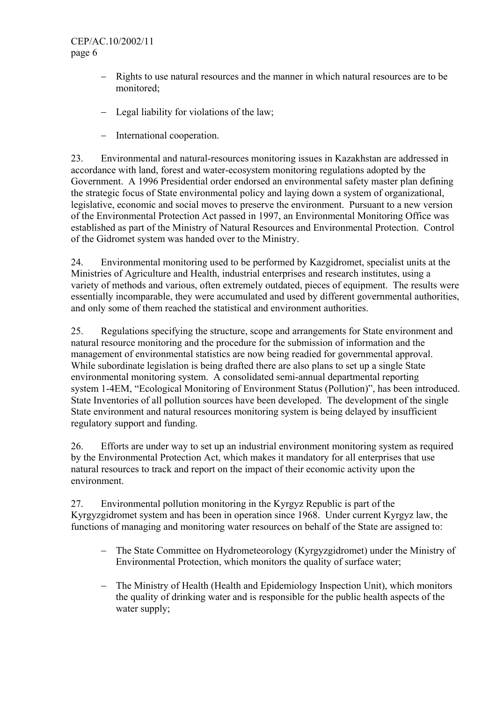#### CEP/AC.10/2002/11 page 6

- − Rights to use natural resources and the manner in which natural resources are to be monitored;
- − Legal liability for violations of the law;
- − International cooperation.

23. Environmental and natural-resources monitoring issues in Kazakhstan are addressed in accordance with land, forest and water-ecosystem monitoring regulations adopted by the Government. A 1996 Presidential order endorsed an environmental safety master plan defining the strategic focus of State environmental policy and laying down a system of organizational, legislative, economic and social moves to preserve the environment. Pursuant to a new version of the Environmental Protection Act passed in 1997, an Environmental Monitoring Office was established as part of the Ministry of Natural Resources and Environmental Protection. Control of the Gidromet system was handed over to the Ministry.

24. Environmental monitoring used to be performed by Kazgidromet, specialist units at the Ministries of Agriculture and Health, industrial enterprises and research institutes, using a variety of methods and various, often extremely outdated, pieces of equipment. The results were essentially incomparable, they were accumulated and used by different governmental authorities, and only some of them reached the statistical and environment authorities.

25. Regulations specifying the structure, scope and arrangements for State environment and natural resource monitoring and the procedure for the submission of information and the management of environmental statistics are now being readied for governmental approval. While subordinate legislation is being drafted there are also plans to set up a single State environmental monitoring system. A consolidated semi-annual departmental reporting system 1-4EM, "Ecological Monitoring of Environment Status (Pollution)", has been introduced. State Inventories of all pollution sources have been developed. The development of the single State environment and natural resources monitoring system is being delayed by insufficient regulatory support and funding.

26. Efforts are under way to set up an industrial environment monitoring system as required by the Environmental Protection Act, which makes it mandatory for all enterprises that use natural resources to track and report on the impact of their economic activity upon the environment.

27. Environmental pollution monitoring in the Kyrgyz Republic is part of the Kyrgyzgidromet system and has been in operation since 1968. Under current Kyrgyz law, the functions of managing and monitoring water resources on behalf of the State are assigned to:

- − The State Committee on Hydrometeorology (Kyrgyzgidromet) under the Ministry of Environmental Protection, which monitors the quality of surface water;
- − The Ministry of Health (Health and Epidemiology Inspection Unit), which monitors the quality of drinking water and is responsible for the public health aspects of the water supply;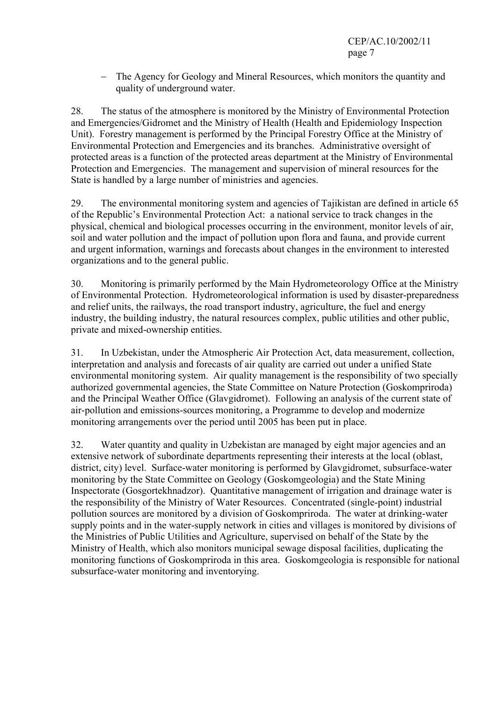− The Agency for Geology and Mineral Resources, which monitors the quantity and quality of underground water.

28. The status of the atmosphere is monitored by the Ministry of Environmental Protection and Emergencies/Gidromet and the Ministry of Health (Health and Epidemiology Inspection Unit). Forestry management is performed by the Principal Forestry Office at the Ministry of Environmental Protection and Emergencies and its branches. Administrative oversight of protected areas is a function of the protected areas department at the Ministry of Environmental Protection and Emergencies. The management and supervision of mineral resources for the State is handled by a large number of ministries and agencies.

29. The environmental monitoring system and agencies of Tajikistan are defined in article 65 of the Republic's Environmental Protection Act: a national service to track changes in the physical, chemical and biological processes occurring in the environment, monitor levels of air, soil and water pollution and the impact of pollution upon flora and fauna, and provide current and urgent information, warnings and forecasts about changes in the environment to interested organizations and to the general public.

30. Monitoring is primarily performed by the Main Hydrometeorology Office at the Ministry of Environmental Protection. Hydrometeorological information is used by disaster-preparedness and relief units, the railways, the road transport industry, agriculture, the fuel and energy industry, the building industry, the natural resources complex, public utilities and other public, private and mixed-ownership entities.

31. In Uzbekistan, under the Atmospheric Air Protection Act, data measurement, collection, interpretation and analysis and forecasts of air quality are carried out under a unified State environmental monitoring system. Air quality management is the responsibility of two specially authorized governmental agencies, the State Committee on Nature Protection (Goskompriroda) and the Principal Weather Office (Glavgidromet). Following an analysis of the current state of air-pollution and emissions-sources monitoring, a Programme to develop and modernize monitoring arrangements over the period until 2005 has been put in place.

32. Water quantity and quality in Uzbekistan are managed by eight major agencies and an extensive network of subordinate departments representing their interests at the local (oblast, district, city) level. Surface-water monitoring is performed by Glavgidromet, subsurface-water monitoring by the State Committee on Geology (Goskomgeologia) and the State Mining Inspectorate (Gosgortekhnadzor). Quantitative management of irrigation and drainage water is the responsibility of the Ministry of Water Resources. Concentrated (single-point) industrial pollution sources are monitored by a division of Goskompriroda. The water at drinking-water supply points and in the water-supply network in cities and villages is monitored by divisions of the Ministries of Public Utilities and Agriculture, supervised on behalf of the State by the Ministry of Health, which also monitors municipal sewage disposal facilities, duplicating the monitoring functions of Goskompriroda in this area. Goskomgeologia is responsible for national subsurface-water monitoring and inventorying.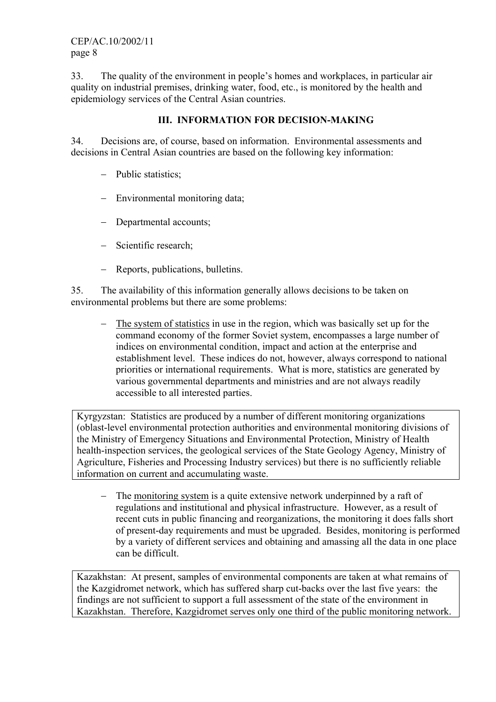33. The quality of the environment in people's homes and workplaces, in particular air quality on industrial premises, drinking water, food, etc., is monitored by the health and epidemiology services of the Central Asian countries.

#### **III. INFORMATION FOR DECISION-MAKING**

34. Decisions are, of course, based on information. Environmental assessments and decisions in Central Asian countries are based on the following key information:

- − Public statistics;
- − Environmental monitoring data;
- − Departmental accounts;
- − Scientific research;
- − Reports, publications, bulletins.

35. The availability of this information generally allows decisions to be taken on environmental problems but there are some problems:

− The system of statistics in use in the region, which was basically set up for the command economy of the former Soviet system, encompasses a large number of indices on environmental condition, impact and action at the enterprise and establishment level. These indices do not, however, always correspond to national priorities or international requirements. What is more, statistics are generated by various governmental departments and ministries and are not always readily accessible to all interested parties.

Kyrgyzstan: Statistics are produced by a number of different monitoring organizations (oblast-level environmental protection authorities and environmental monitoring divisions of the Ministry of Emergency Situations and Environmental Protection, Ministry of Health health-inspection services, the geological services of the State Geology Agency, Ministry of Agriculture, Fisheries and Processing Industry services) but there is no sufficiently reliable information on current and accumulating waste.

− The monitoring system is a quite extensive network underpinned by a raft of regulations and institutional and physical infrastructure. However, as a result of recent cuts in public financing and reorganizations, the monitoring it does falls short of present-day requirements and must be upgraded. Besides, monitoring is performed by a variety of different services and obtaining and amassing all the data in one place can be difficult.

Kazakhstan: At present, samples of environmental components are taken at what remains of the Kazgidromet network, which has suffered sharp cut-backs over the last five years: the findings are not sufficient to support a full assessment of the state of the environment in Kazakhstan. Therefore, Kazgidromet serves only one third of the public monitoring network.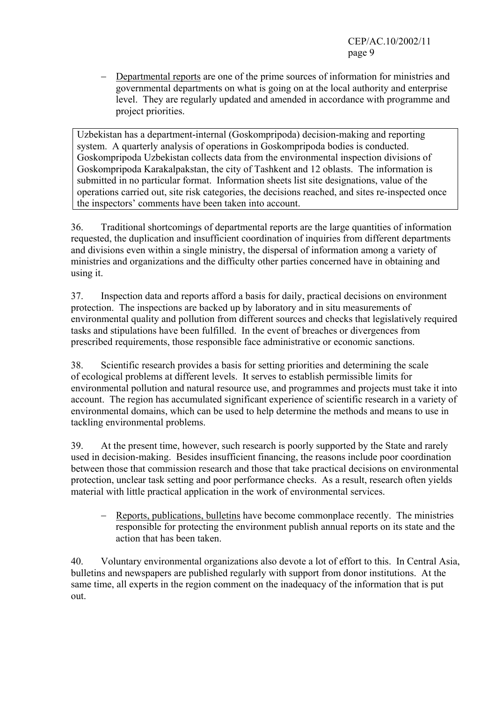− Departmental reports are one of the prime sources of information for ministries and governmental departments on what is going on at the local authority and enterprise level. They are regularly updated and amended in accordance with programme and project priorities.

Uzbekistan has a department-internal (Goskompripoda) decision-making and reporting system. A quarterly analysis of operations in Goskompripoda bodies is conducted. Goskompripoda Uzbekistan collects data from the environmental inspection divisions of Goskompripoda Karakalpakstan, the city of Tashkent and 12 oblasts. The information is submitted in no particular format. Information sheets list site designations, value of the operations carried out, site risk categories, the decisions reached, and sites re-inspected once the inspectors' comments have been taken into account.

36. Traditional shortcomings of departmental reports are the large quantities of information requested, the duplication and insufficient coordination of inquiries from different departments and divisions even within a single ministry, the dispersal of information among a variety of ministries and organizations and the difficulty other parties concerned have in obtaining and using it.

37. Inspection data and reports afford a basis for daily, practical decisions on environment protection. The inspections are backed up by laboratory and in situ measurements of environmental quality and pollution from different sources and checks that legislatively required tasks and stipulations have been fulfilled. In the event of breaches or divergences from prescribed requirements, those responsible face administrative or economic sanctions.

38. Scientific research provides a basis for setting priorities and determining the scale of ecological problems at different levels. It serves to establish permissible limits for environmental pollution and natural resource use, and programmes and projects must take it into account. The region has accumulated significant experience of scientific research in a variety of environmental domains, which can be used to help determine the methods and means to use in tackling environmental problems.

39. At the present time, however, such research is poorly supported by the State and rarely used in decision-making. Besides insufficient financing, the reasons include poor coordination between those that commission research and those that take practical decisions on environmental protection, unclear task setting and poor performance checks. As a result, research often yields material with little practical application in the work of environmental services.

− Reports, publications, bulletins have become commonplace recently. The ministries responsible for protecting the environment publish annual reports on its state and the action that has been taken.

40. Voluntary environmental organizations also devote a lot of effort to this. In Central Asia, bulletins and newspapers are published regularly with support from donor institutions. At the same time, all experts in the region comment on the inadequacy of the information that is put out.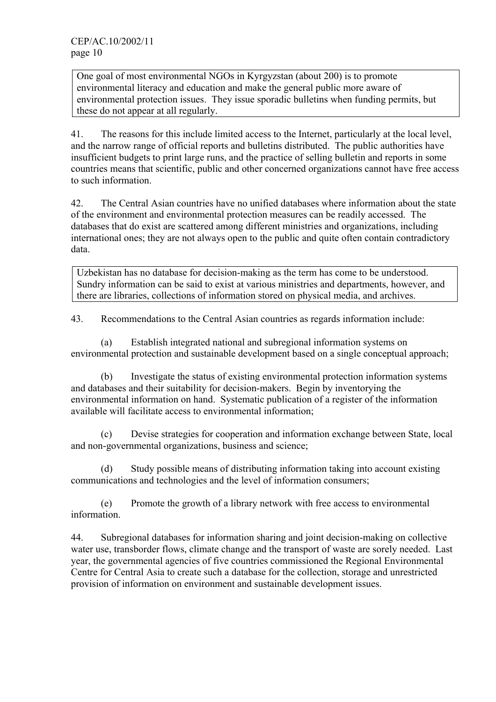One goal of most environmental NGOs in Kyrgyzstan (about 200) is to promote environmental literacy and education and make the general public more aware of environmental protection issues. They issue sporadic bulletins when funding permits, but these do not appear at all regularly.

41. The reasons for this include limited access to the Internet, particularly at the local level, and the narrow range of official reports and bulletins distributed. The public authorities have insufficient budgets to print large runs, and the practice of selling bulletin and reports in some countries means that scientific, public and other concerned organizations cannot have free access to such information.

42. The Central Asian countries have no unified databases where information about the state of the environment and environmental protection measures can be readily accessed. The databases that do exist are scattered among different ministries and organizations, including international ones; they are not always open to the public and quite often contain contradictory data.

Uzbekistan has no database for decision-making as the term has come to be understood. Sundry information can be said to exist at various ministries and departments, however, and there are libraries, collections of information stored on physical media, and archives.

43. Recommendations to the Central Asian countries as regards information include:

 (a) Establish integrated national and subregional information systems on environmental protection and sustainable development based on a single conceptual approach;

 (b) Investigate the status of existing environmental protection information systems and databases and their suitability for decision-makers. Begin by inventorying the environmental information on hand. Systematic publication of a register of the information available will facilitate access to environmental information;

 (c) Devise strategies for cooperation and information exchange between State, local and non-governmental organizations, business and science;

 (d) Study possible means of distributing information taking into account existing communications and technologies and the level of information consumers;

 (e) Promote the growth of a library network with free access to environmental information.

44. Subregional databases for information sharing and joint decision-making on collective water use, transborder flows, climate change and the transport of waste are sorely needed. Last year, the governmental agencies of five countries commissioned the Regional Environmental Centre for Central Asia to create such a database for the collection, storage and unrestricted provision of information on environment and sustainable development issues.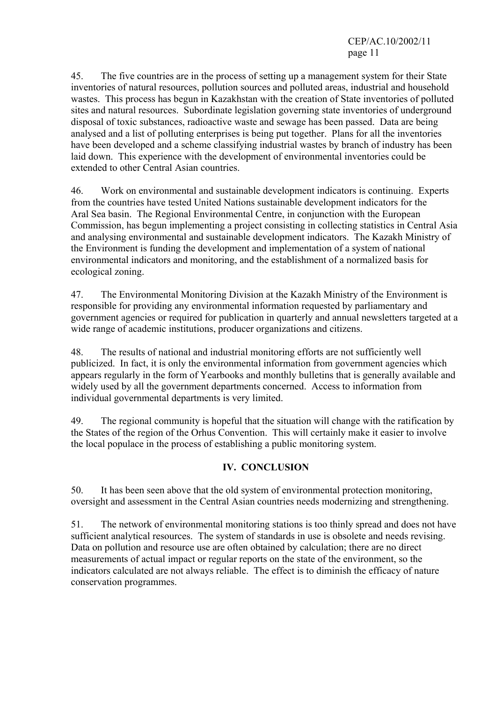CEP/AC.10/2002/11 page 11

45. The five countries are in the process of setting up a management system for their State inventories of natural resources, pollution sources and polluted areas, industrial and household wastes. This process has begun in Kazakhstan with the creation of State inventories of polluted sites and natural resources. Subordinate legislation governing state inventories of underground disposal of toxic substances, radioactive waste and sewage has been passed. Data are being analysed and a list of polluting enterprises is being put together. Plans for all the inventories have been developed and a scheme classifying industrial wastes by branch of industry has been laid down. This experience with the development of environmental inventories could be extended to other Central Asian countries.

46. Work on environmental and sustainable development indicators is continuing. Experts from the countries have tested United Nations sustainable development indicators for the Aral Sea basin. The Regional Environmental Centre, in conjunction with the European Commission, has begun implementing a project consisting in collecting statistics in Central Asia and analysing environmental and sustainable development indicators. The Kazakh Ministry of the Environment is funding the development and implementation of a system of national environmental indicators and monitoring, and the establishment of a normalized basis for ecological zoning.

47. The Environmental Monitoring Division at the Kazakh Ministry of the Environment is responsible for providing any environmental information requested by parliamentary and government agencies or required for publication in quarterly and annual newsletters targeted at a wide range of academic institutions, producer organizations and citizens.

48. The results of national and industrial monitoring efforts are not sufficiently well publicized. In fact, it is only the environmental information from government agencies which appears regularly in the form of Yearbooks and monthly bulletins that is generally available and widely used by all the government departments concerned. Access to information from individual governmental departments is very limited.

49. The regional community is hopeful that the situation will change with the ratification by the States of the region of the Orhus Convention. This will certainly make it easier to involve the local populace in the process of establishing a public monitoring system.

#### **IV. CONCLUSION**

50. It has been seen above that the old system of environmental protection monitoring, oversight and assessment in the Central Asian countries needs modernizing and strengthening.

51. The network of environmental monitoring stations is too thinly spread and does not have sufficient analytical resources. The system of standards in use is obsolete and needs revising. Data on pollution and resource use are often obtained by calculation; there are no direct measurements of actual impact or regular reports on the state of the environment, so the indicators calculated are not always reliable. The effect is to diminish the efficacy of nature conservation programmes.